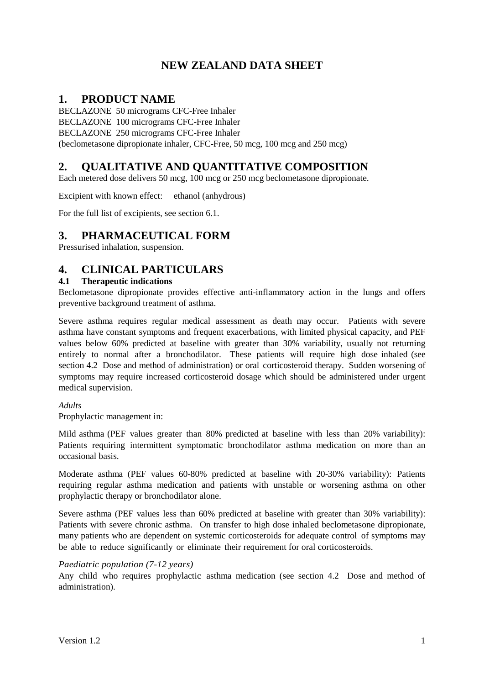# **NEW ZEALAND DATA SHEET**

# **1. PRODUCT NAME**

BECLAZONE 50 micrograms CFC-Free Inhaler BECLAZONE 100 micrograms CFC-Free Inhaler BECLAZONE 250 micrograms CFC-Free Inhaler (beclometasone dipropionate inhaler, CFC-Free, 50 mcg, 100 mcg and 250 mcg)

# **2. QUALITATIVE AND QUANTITATIVE COMPOSITION**

Each metered dose delivers 50 mcg, 100 mcg or 250 mcg beclometasone dipropionate.

Excipient with known effect: ethanol (anhydrous)

For the full list of excipients, see section 6.1.

## **3. PHARMACEUTICAL FORM**

Pressurised inhalation, suspension.

# **4. CLINICAL PARTICULARS**

## **4.1 Therapeutic indications**

Beclometasone dipropionate provides effective anti-inflammatory action in the lungs and offers preventive background treatment of asthma.

Severe asthma requires regular medical assessment as death may occur. Patients with severe asthma have constant symptoms and frequent exacerbations, with limited physical capacity, and PEF values below 60% predicted at baseline with greater than 30% variability, usually not returning entirely to normal after a bronchodilator. These patients will require high dose inhaled (see section 4.2 Dose and method of administration) or oral corticosteroid therapy. Sudden worsening of symptoms may require increased corticosteroid dosage which should be administered under urgent medical supervision.

*Adults*

Prophylactic management in:

Mild asthma (PEF values greater than 80% predicted at baseline with less than 20% variability): Patients requiring intermittent symptomatic bronchodilator asthma medication on more than an occasional basis.

Moderate asthma (PEF values 60-80% predicted at baseline with 20-30% variability): Patients requiring regular asthma medication and patients with unstable or worsening asthma on other prophylactic therapy or bronchodilator alone.

Severe asthma (PEF values less than 60% predicted at baseline with greater than 30% variability): Patients with severe chronic asthma. On transfer to high dose inhaled beclometasone dipropionate, many patients who are dependent on systemic corticosteroids for adequate control of symptoms may be able to reduce significantly or eliminate their requirement for oral corticosteroids.

#### *Paediatric population (7-12 years)*

Any child who requires prophylactic asthma medication (see section 4.2 Dose and method of administration).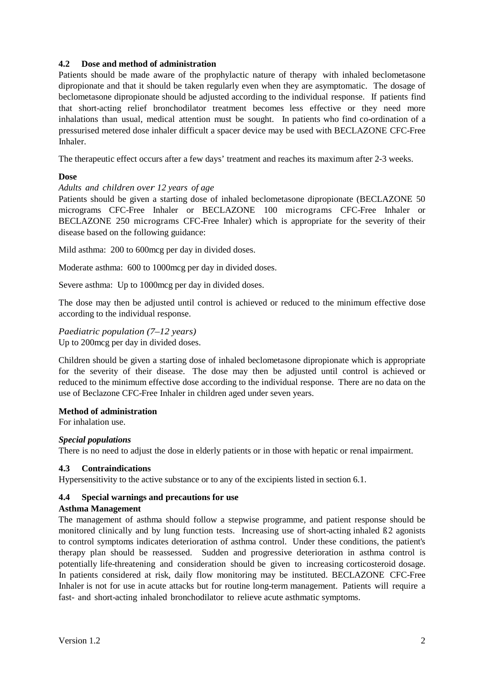#### **4.2 Dose and method of administration**

Patients should be made aware of the prophylactic nature of therapy with inhaled beclometasone dipropionate and that it should be taken regularly even when they are asymptomatic. The dosage of beclometasone dipropionate should be adjusted according to the individual response. If patients find that short-acting relief bronchodilator treatment becomes less effective or they need more inhalations than usual, medical attention must be sought. In patients who find co-ordination of a pressurised metered dose inhaler difficult a spacer device may be used with BECLAZONE CFC-Free Inhaler.

The therapeutic effect occurs after a few days' treatment and reaches its maximum after 2-3 weeks.

#### **Dose**

#### *Adults and children over 12 years of age*

Patients should be given a starting dose of inhaled beclometasone dipropionate (BECLAZONE 50 micrograms CFC-Free Inhaler or BECLAZONE 100 micrograms CFC-Free Inhaler or BECLAZONE 250 micrograms CFC-Free Inhaler) which is appropriate for the severity of their disease based on the following guidance:

Mild asthma: 200 to 600mcg per day in divided doses.

Moderate asthma: 600 to 1000mcg per day in divided doses.

Severe asthma: Up to 1000mcg per day in divided doses.

The dose may then be adjusted until control is achieved or reduced to the minimum effective dose according to the individual response.

#### *Paediatric population (7–12 years)* Up to 200mcg per day in divided doses.

Children should be given a starting dose of inhaled beclometasone dipropionate which is appropriate for the severity of their disease. The dose may then be adjusted until control is achieved or reduced to the minimum effective dose according to the individual response. There are no data on the use of Beclazone CFC-Free Inhaler in children aged under seven years.

#### **Method of administration**

For inhalation use.

#### *Special populations*

There is no need to adjust the dose in elderly patients or in those with hepatic or renal impairment.

#### **4.3 Contraindications**

Hypersensitivity to the active substance or to any of the excipients listed in section 6.1.

#### **4.4 Special warnings and precautions for use**

#### **Asthma Management**

The management of asthma should follow a stepwise programme, and patient response should be monitored clinically and by lung function tests. Increasing use of short-acting inhaled ß2 agonists to control symptoms indicates deterioration of asthma control. Under these conditions, the patient's therapy plan should be reassessed. Sudden and progressive deterioration in asthma control is potentially life-threatening and consideration should be given to increasing corticosteroid dosage. In patients considered at risk, daily flow monitoring may be instituted. BECLAZONE CFC-Free Inhaler is not for use in acute attacks but for routine long-term management. Patients will require a fast- and short-acting inhaled bronchodilator to relieve acute asthmatic symptoms.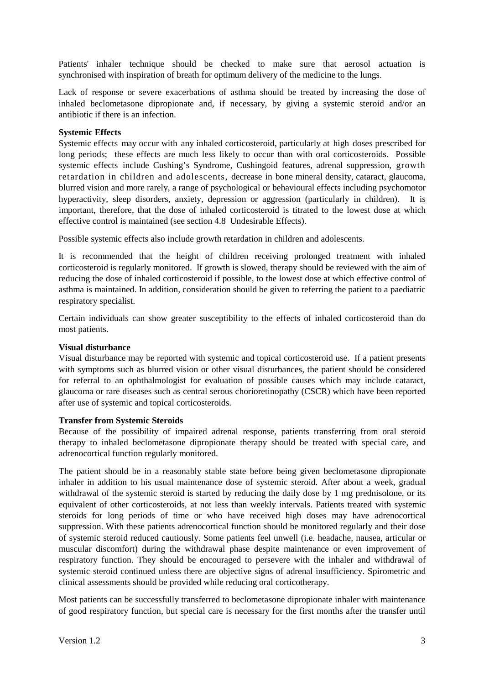Patients' inhaler technique should be checked to make sure that aerosol actuation is synchronised with inspiration of breath for optimum delivery of the medicine to the lungs.

Lack of response or severe exacerbations of asthma should be treated by increasing the dose of inhaled beclometasone dipropionate and, if necessary, by giving a systemic steroid and/or an antibiotic if there is an infection.

#### **Systemic Effects**

Systemic effects may occur with any inhaled corticosteroid, particularly at high doses prescribed for long periods; these effects are much less likely to occur than with oral corticosteroids. Possible systemic effects include Cushing's Syndrome, Cushingoid features, adrenal suppression, growth retardation in children and adolescents, decrease in bone mineral density, cataract, glaucoma, blurred vision and more rarely, a range of psychological or behavioural effects including psychomotor hyperactivity, sleep disorders, anxiety, depression or aggression (particularly in children). It is important, therefore, that the dose of inhaled corticosteroid is titrated to the lowest dose at which effective control is maintained (see section 4.8 Undesirable Effects).

Possible systemic effects also include growth retardation in children and adolescents.

It is recommended that the height of children receiving prolonged treatment with inhaled corticosteroid is regularly monitored. If growth is slowed, therapy should be reviewed with the aim of reducing the dose of inhaled corticosteroid if possible, to the lowest dose at which effective control of asthma is maintained. In addition, consideration should be given to referring the patient to a paediatric respiratory specialist.

Certain individuals can show greater susceptibility to the effects of inhaled corticosteroid than do most patients.

#### **Visual disturbance**

Visual disturbance may be reported with systemic and topical corticosteroid use. If a patient presents with symptoms such as blurred vision or other visual disturbances, the patient should be considered for referral to an ophthalmologist for evaluation of possible causes which may include cataract, glaucoma or rare diseases such as central serous chorioretinopathy (CSCR) which have been reported after use of systemic and topical corticosteroids.

#### **Transfer from Systemic Steroids**

Because of the possibility of impaired adrenal response, patients transferring from oral steroid therapy to inhaled beclometasone dipropionate therapy should be treated with special care, and adrenocortical function regularly monitored.

The patient should be in a reasonably stable state before being given beclometasone dipropionate inhaler in addition to his usual maintenance dose of systemic steroid. After about a week, gradual withdrawal of the systemic steroid is started by reducing the daily dose by 1 mg prednisolone, or its equivalent of other corticosteroids, at not less than weekly intervals. Patients treated with systemic steroids for long periods of time or who have received high doses may have adrenocortical suppression. With these patients adrenocortical function should be monitored regularly and their dose of systemic steroid reduced cautiously. Some patients feel unwell (i.e. headache, nausea, articular or muscular discomfort) during the withdrawal phase despite maintenance or even improvement of respiratory function. They should be encouraged to persevere with the inhaler and withdrawal of systemic steroid continued unless there are objective signs of adrenal insufficiency. Spirometric and clinical assessments should be provided while reducing oral corticotherapy.

Most patients can be successfully transferred to beclometasone dipropionate inhaler with maintenance of good respiratory function, but special care is necessary for the first months after the transfer until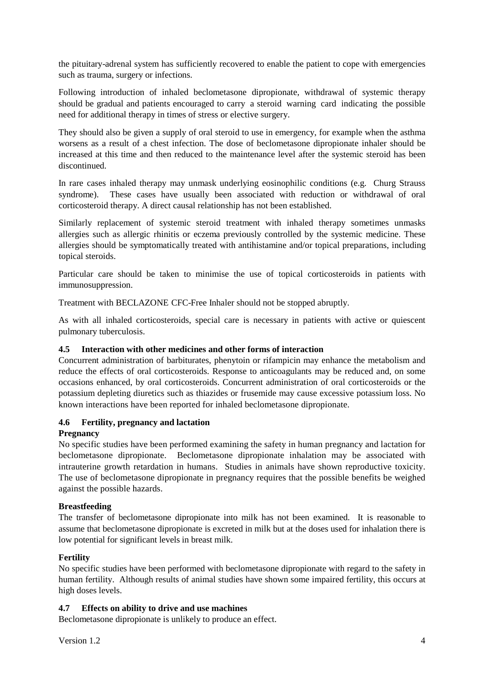the pituitary-adrenal system has sufficiently recovered to enable the patient to cope with emergencies such as trauma, surgery or infections.

Following introduction of inhaled beclometasone dipropionate, withdrawal of systemic therapy should be gradual and patients encouraged to carry a steroid warning card indicating the possible need for additional therapy in times of stress or elective surgery.

They should also be given a supply of oral steroid to use in emergency, for example when the asthma worsens as a result of a chest infection. The dose of beclometasone dipropionate inhaler should be increased at this time and then reduced to the maintenance level after the systemic steroid has been discontinued.

In rare cases inhaled therapy may unmask underlying eosinophilic conditions (e.g. Churg Strauss syndrome). These cases have usually been associated with reduction or withdrawal of oral corticosteroid therapy. A direct causal relationship has not been established.

Similarly replacement of systemic steroid treatment with inhaled therapy sometimes unmasks allergies such as allergic rhinitis or eczema previously controlled by the systemic medicine. These allergies should be symptomatically treated with antihistamine and/or topical preparations, including topical steroids.

Particular care should be taken to minimise the use of topical corticosteroids in patients with immunosuppression.

Treatment with BECLAZONE CFC-Free Inhaler should not be stopped abruptly.

As with all inhaled corticosteroids, special care is necessary in patients with active or quiescent pulmonary tuberculosis.

## **4.5 Interaction with other medicines and other forms of interaction**

Concurrent administration of barbiturates, phenytoin or rifampicin may enhance the metabolism and reduce the effects of oral corticosteroids. Response to anticoagulants may be reduced and, on some occasions enhanced, by oral corticosteroids. Concurrent administration of oral corticosteroids or the potassium depleting diuretics such as thiazides or frusemide may cause excessive potassium loss. No known interactions have been reported for inhaled beclometasone dipropionate.

## **4.6 Fertility, pregnancy and lactation**

## **Pregnancy**

No specific studies have been performed examining the safety in human pregnancy and lactation for beclometasone dipropionate. Beclometasone dipropionate inhalation may be associated with intrauterine growth retardation in humans. Studies in animals have shown reproductive toxicity. The use of beclometasone dipropionate in pregnancy requires that the possible benefits be weighed against the possible hazards.

## **Breastfeeding**

The transfer of beclometasone dipropionate into milk has not been examined. It is reasonable to assume that beclometasone dipropionate is excreted in milk but at the doses used for inhalation there is low potential for significant levels in breast milk.

## **Fertility**

No specific studies have been performed with beclometasone dipropionate with regard to the safety in human fertility. Although results of animal studies have shown some impaired fertility, this occurs at high doses levels.

## **4.7 Effects on ability to drive and use machines**

Beclometasone dipropionate is unlikely to produce an effect.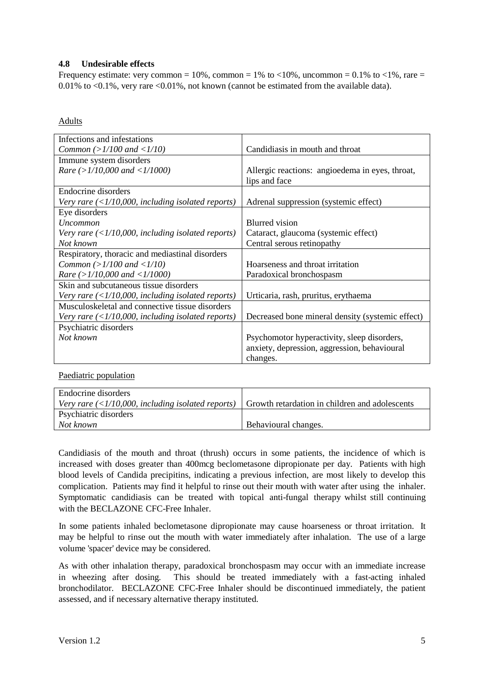## **4.8 Undesirable effects**

Frequency estimate: very common =  $10\%$ , common =  $1\%$  to <10%, uncommon = 0.1% to <1%, rare = 0.01% to <0.1%, very rare <0.01%, not known (cannot be estimated from the available data).

#### Adults

| Infections and infestations                                                           |                                                  |
|---------------------------------------------------------------------------------------|--------------------------------------------------|
|                                                                                       |                                                  |
| Common (> $1/100$ and < $1/10$ )                                                      | Candidiasis in mouth and throat                  |
| Immune system disorders                                                               |                                                  |
| Rare $(>1/10,000$ and $<1/1000$ )                                                     | Allergic reactions: angioedema in eyes, throat,  |
|                                                                                       | lips and face                                    |
| Endocrine disorders                                                                   |                                                  |
| Very rare $\left\langle \frac{1}{10,000} \right\rangle$ , including isolated reports) | Adrenal suppression (systemic effect)            |
| Eye disorders                                                                         |                                                  |
| Uncommon                                                                              | <b>Blurred</b> vision                            |
| Very rare $\left($ < 1/10,000, including isolated reports)                            | Cataract, glaucoma (systemic effect)             |
| Not known                                                                             | Central serous retinopathy                       |
| Respiratory, thoracic and mediastinal disorders                                       |                                                  |
| Common (> $1/100$ and < $1/10$ )                                                      | Hoarseness and throat irritation                 |
| Rare $(>1/10,000$ and $<1/1000$ )                                                     | Paradoxical bronchospasm                         |
| Skin and subcutaneous tissue disorders                                                |                                                  |
| Very rare $\left\langle \frac{1}{10,000} \right\rangle$ , including isolated reports) | Urticaria, rash, pruritus, erythaema             |
| Musculoskeletal and connective tissue disorders                                       |                                                  |
| Very rare $\left\langle \frac{1}{10,000} \right\rangle$ including isolated reports)   | Decreased bone mineral density (systemic effect) |
| Psychiatric disorders                                                                 |                                                  |
| Not known                                                                             | Psychomotor hyperactivity, sleep disorders,      |
|                                                                                       | anxiety, depression, aggression, behavioural     |
|                                                                                       | changes.                                         |

Paediatric population

| Endocrine disorders                                                                   |                                                |
|---------------------------------------------------------------------------------------|------------------------------------------------|
| Very rare $\left\langle \frac{1}{10,000} \right\rangle$ , including isolated reports) | Growth retardation in children and adolescents |
| <b>Psychiatric disorders</b>                                                          |                                                |
| Not known                                                                             | Behavioural changes.                           |

Candidiasis of the mouth and throat (thrush) occurs in some patients, the incidence of which is increased with doses greater than 400mcg beclometasone dipropionate per day. Patients with high blood levels of Candida precipitins, indicating a previous infection, are most likely to develop this complication. Patients may find it helpful to rinse out their mouth with water after using the inhaler. Symptomatic candidiasis can be treated with topical anti-fungal therapy whilst still continuing with the BECLAZONE CFC-Free Inhaler.

In some patients inhaled beclometasone dipropionate may cause hoarseness or throat irritation. It may be helpful to rinse out the mouth with water immediately after inhalation. The use of a large volume 'spacer' device may be considered.

As with other inhalation therapy, paradoxical bronchospasm may occur with an immediate increase in wheezing after dosing. This should be treated immediately with a fast-acting inhaled bronchodilator. BECLAZONE CFC-Free Inhaler should be discontinued immediately, the patient assessed, and if necessary alternative therapy instituted.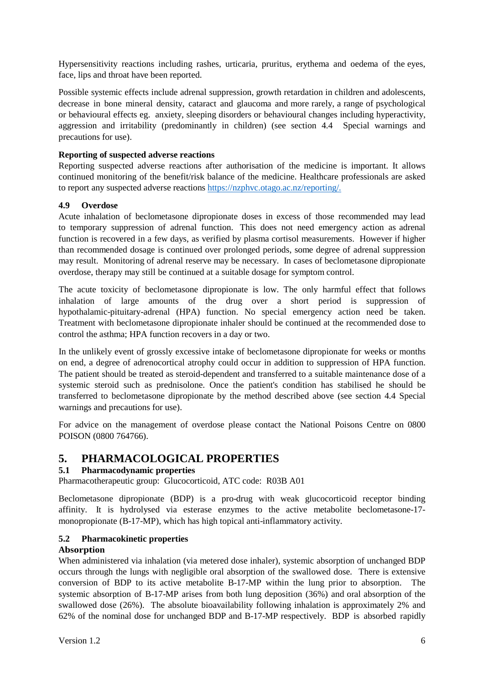Hypersensitivity reactions including rashes, urticaria, pruritus, erythema and oedema of the eyes, face, lips and throat have been reported.

Possible systemic effects include adrenal suppression, growth retardation in children and adolescents, decrease in bone mineral density, cataract and glaucoma and more rarely, a range of psychological or behavioural effects eg. anxiety, sleeping disorders or behavioural changes including hyperactivity, aggression and irritability (predominantly in children) (see section 4.4 Special warnings and precautions for use).

## **Reporting of suspected adverse reactions**

Reporting suspected adverse reactions after authorisation of the medicine is important. It allows continued monitoring of the benefit/risk balance of the medicine. Healthcare professionals are asked to report any suspected adverse reactions [https://nzphvc.otago.ac.nz/reporting/.](https://nzphvc.otago.ac.nz/reporting/)

## **4.9 Overdose**

Acute inhalation of beclometasone dipropionate doses in excess of those recommended may lead to temporary suppression of adrenal function. This does not need emergency action as adrenal function is recovered in a few days, as verified by plasma cortisol measurements. However if higher than recommended dosage is continued over prolonged periods, some degree of adrenal suppression may result. Monitoring of adrenal reserve may be necessary. In cases of beclometasone dipropionate overdose, therapy may still be continued at a suitable dosage for symptom control.

The acute toxicity of beclometasone dipropionate is low. The only harmful effect that follows inhalation of large amounts of the drug over a short period is suppression of hypothalamic-pituitary-adrenal (HPA) function. No special emergency action need be taken. Treatment with beclometasone dipropionate inhaler should be continued at the recommended dose to control the asthma; HPA function recovers in a day or two.

In the unlikely event of grossly excessive intake of beclometasone dipropionate for weeks or months on end, a degree of adrenocortical atrophy could occur in addition to suppression of HPA function. The patient should be treated as steroid-dependent and transferred to a suitable maintenance dose of a systemic steroid such as prednisolone. Once the patient's condition has stabilised he should be transferred to beclometasone dipropionate by the method described above (see section 4.4 Special warnings and precautions for use).

For advice on the management of overdose please contact the National Poisons Centre on 0800 POISON (0800 764766).

# **5. PHARMACOLOGICAL PROPERTIES**

## **5.1 Pharmacodynamic properties**

Pharmacotherapeutic group: Glucocorticoid, ATC code: R03B A01

Beclometasone dipropionate (BDP) is a pro-drug with weak glucocorticoid receptor binding affinity. It is hydrolysed via esterase enzymes to the active metabolite beclometasone-17 monopropionate (B-17-MP), which has high topical anti-inflammatory activity.

#### **5.2 Pharmacokinetic properties**

#### **Absorption**

When administered via inhalation (via metered dose inhaler), systemic absorption of unchanged BDP occurs through the lungs with negligible oral absorption of the swallowed dose. There is extensive conversion of BDP to its active metabolite B-17-MP within the lung prior to absorption. The systemic absorption of B-17-MP arises from both lung deposition (36%) and oral absorption of the swallowed dose (26%). The absolute bioavailability following inhalation is approximately 2% and 62% of the nominal dose for unchanged BDP and B-17-MP respectively. BDP is absorbed rapidly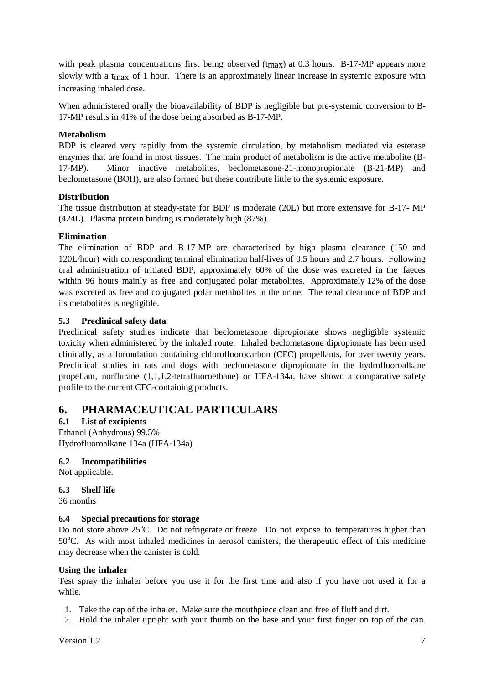with peak plasma concentrations first being observed (t<sub>max</sub>) at 0.3 hours. B-17-MP appears more slowly with a t<sub>max</sub> of 1 hour. There is an approximately linear increase in systemic exposure with increasing inhaled dose.

When administered orally the bioavailability of BDP is negligible but pre-systemic conversion to B-17-MP results in 41% of the dose being absorbed as B-17-MP.

## **Metabolism**

BDP is cleared very rapidly from the systemic circulation, by metabolism mediated via esterase enzymes that are found in most tissues. The main product of metabolism is the active metabolite (B-17-MP). Minor inactive metabolites, beclometasone-21-monopropionate (B-21-MP) and beclometasone (BOH), are also formed but these contribute little to the systemic exposure.

## **Distribution**

The tissue distribution at steady-state for BDP is moderate (20L) but more extensive for B-17- MP (424L). Plasma protein binding is moderately high (87%).

## **Elimination**

The elimination of BDP and B-17-MP are characterised by high plasma clearance (150 and 120L/hour) with corresponding terminal elimination half-lives of 0.5 hours and 2.7 hours. Following oral administration of tritiated BDP, approximately 60% of the dose was excreted in the faeces within 96 hours mainly as free and conjugated polar metabolites. Approximately 12% of the dose was excreted as free and conjugated polar metabolites in the urine. The renal clearance of BDP and its metabolites is negligible.

## **5.3 Preclinical safety data**

Preclinical safety studies indicate that beclometasone dipropionate shows negligible systemic toxicity when administered by the inhaled route. Inhaled beclometasone dipropionate has been used clinically, as a formulation containing chlorofluorocarbon (CFC) propellants, for over twenty years. Preclinical studies in rats and dogs with beclometasone dipropionate in the hydrofluoroalkane propellant, norflurane (1,1,1,2-tetrafluoroethane) or HFA-134a, have shown a comparative safety profile to the current CFC-containing products.

# **6. PHARMACEUTICAL PARTICULARS**

## **6.1 List of excipients**

Ethanol (Anhydrous) 99.5% Hydrofluoroalkane 134a (HFA-134a)

## **6.2 Incompatibilities**

Not applicable.

## **6.3 Shelf life**

36 months

## **6.4 Special precautions for storage**

Do not store above 25°C. Do not refrigerate or freeze. Do not expose to temperatures higher than 50°C. As with most inhaled medicines in aerosol canisters, the therapeutic effect of this medicine may decrease when the canister is cold.

## **Using the inhaler**

Test spray the inhaler before you use it for the first time and also if you have not used it for a while.

- 1. Take the cap of the inhaler. Make sure the mouthpiece clean and free of fluff and dirt.
- 2. Hold the inhaler upright with your thumb on the base and your first finger on top of the can.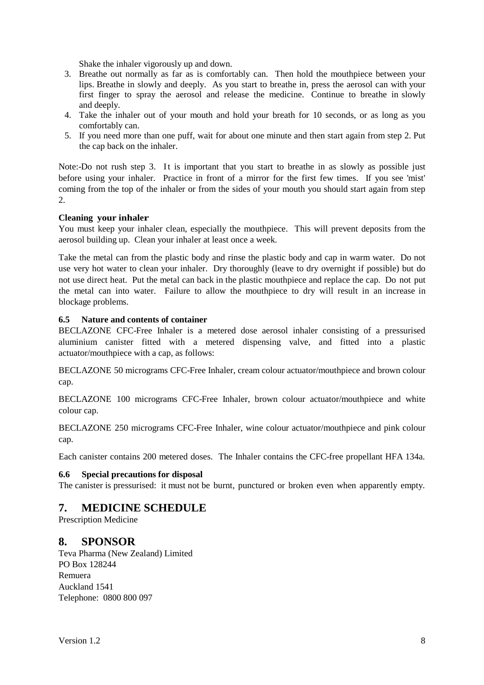Shake the inhaler vigorously up and down.

- 3. Breathe out normally as far as is comfortably can. Then hold the mouthpiece between your lips. Breathe in slowly and deeply. As you start to breathe in, press the aerosol can with your first finger to spray the aerosol and release the medicine. Continue to breathe in slowly and deeply.
- 4. Take the inhaler out of your mouth and hold your breath for 10 seconds, or as long as you comfortably can.
- 5. If you need more than one puff, wait for about one minute and then start again from step 2. Put the cap back on the inhaler.

Note:-Do not rush step 3. It is important that you start to breathe in as slowly as possible just before using your inhaler. Practice in front of a mirror for the first few times. If you see 'mist' coming from the top of the inhaler or from the sides of your mouth you should start again from step 2.

## **Cleaning your inhaler**

You must keep your inhaler clean, especially the mouthpiece. This will prevent deposits from the aerosol building up. Clean your inhaler at least once a week.

Take the metal can from the plastic body and rinse the plastic body and cap in warm water. Do not use very hot water to clean your inhaler. Dry thoroughly (leave to dry overnight if possible) but do not use direct heat. Put the metal can back in the plastic mouthpiece and replace the cap. Do not put the metal can into water. Failure to allow the mouthpiece to dry will result in an increase in blockage problems.

#### **6.5 Nature and contents of container**

BECLAZONE CFC-Free Inhaler is a metered dose aerosol inhaler consisting of a pressurised aluminium canister fitted with a metered dispensing valve, and fitted into a plastic actuator/mouthpiece with a cap, as follows:

BECLAZONE 50 micrograms CFC-Free Inhaler, cream colour actuator/mouthpiece and brown colour cap.

BECLAZONE 100 micrograms CFC-Free Inhaler, brown colour actuator/mouthpiece and white colour cap.

BECLAZONE 250 micrograms CFC-Free Inhaler, wine colour actuator/mouthpiece and pink colour cap.

Each canister contains 200 metered doses. The Inhaler contains the CFC-free propellant HFA 134a.

## **6.6 Special precautions for disposal**

The canister is pressurised: it must not be burnt, punctured or broken even when apparently empty.

# **7. MEDICINE SCHEDULE**

Prescription Medicine

## **8. SPONSOR**

Teva Pharma (New Zealand) Limited PO Box 128244 Remuera Auckland 1541 Telephone: 0800 800 097